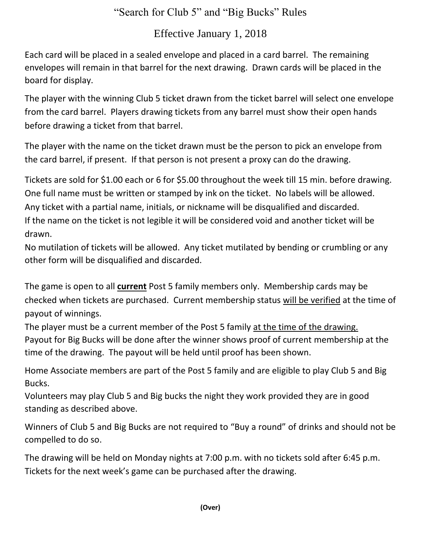## "Search for Club 5" and "Big Bucks" Rules

## Effective January 1, 2018

Each card will be placed in a sealed envelope and placed in a card barrel. The remaining envelopes will remain in that barrel for the next drawing. Drawn cards will be placed in the board for display.

The player with the winning Club 5 ticket drawn from the ticket barrel will select one envelope from the card barrel. Players drawing tickets from any barrel must show their open hands before drawing a ticket from that barrel.

The player with the name on the ticket drawn must be the person to pick an envelope from the card barrel, if present. If that person is not present a proxy can do the drawing.

Tickets are sold for \$1.00 each or 6 for \$5.00 throughout the week till 15 min. before drawing. One full name must be written or stamped by ink on the ticket. No labels will be allowed. Any ticket with a partial name, initials, or nickname will be disqualified and discarded. If the name on the ticket is not legible it will be considered void and another ticket will be drawn.

No mutilation of tickets will be allowed. Any ticket mutilated by bending or crumbling or any other form will be disqualified and discarded.

The game is open to all **current** Post 5 family members only. Membership cards may be checked when tickets are purchased. Current membership status will be verified at the time of payout of winnings.

The player must be a current member of the Post 5 family at the time of the drawing. Payout for Big Bucks will be done after the winner shows proof of current membership at the time of the drawing. The payout will be held until proof has been shown.

Home Associate members are part of the Post 5 family and are eligible to play Club 5 and Big Bucks.

Volunteers may play Club 5 and Big bucks the night they work provided they are in good standing as described above.

Winners of Club 5 and Big Bucks are not required to "Buy a round" of drinks and should not be compelled to do so.

The drawing will be held on Monday nights at 7:00 p.m. with no tickets sold after 6:45 p.m. Tickets for the next week's game can be purchased after the drawing.